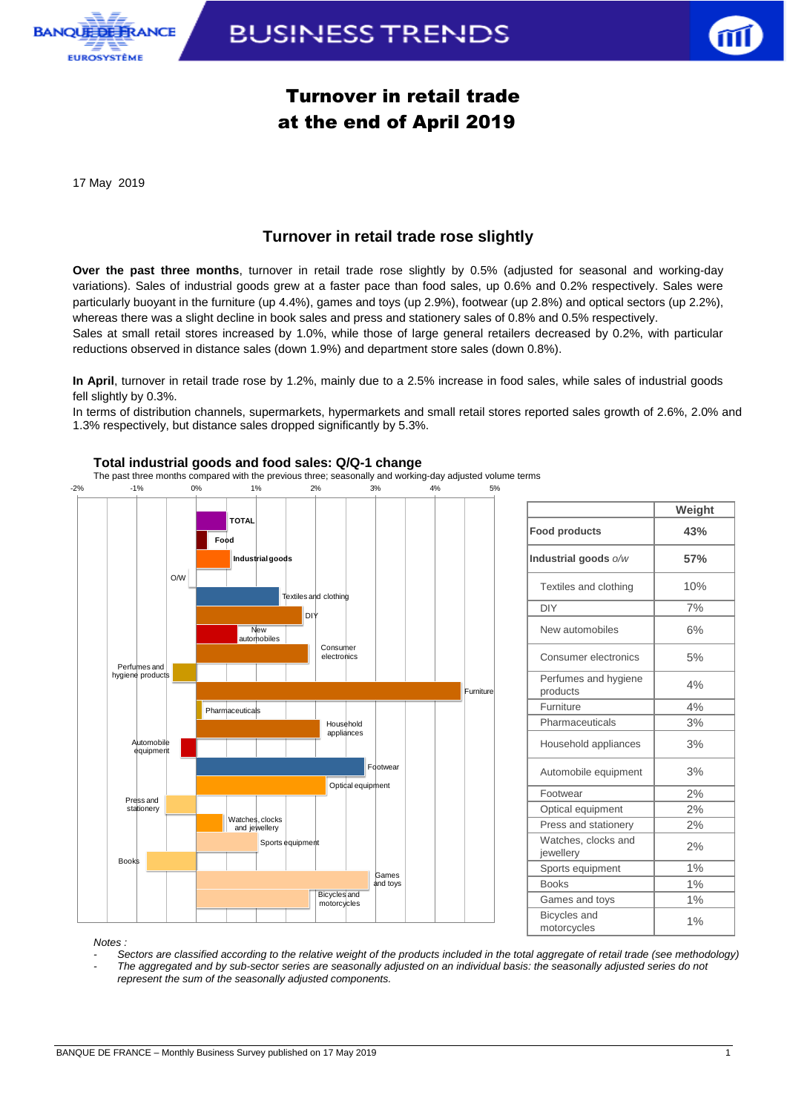

## **BUSINESS TRENDS**



## Turnover in retail trade at the end of April 2019

17 May 2019

## **Turnover in retail trade rose slightly**

**Over the past three months**, turnover in retail trade rose slightly by 0.5% (adjusted for seasonal and working-day variations). Sales of industrial goods grew at a faster pace than food sales, up 0.6% and 0.2% respectively. Sales were particularly buoyant in the furniture (up 4.4%), games and toys (up 2.9%), footwear (up 2.8%) and optical sectors (up 2.2%), whereas there was a slight decline in book sales and press and stationery sales of 0.8% and 0.5% respectively.

Sales at small retail stores increased by 1.0%, while those of large general retailers decreased by 0.2%, with particular reductions observed in distance sales (down 1.9%) and department store sales (down 0.8%).

**In April**, turnover in retail trade rose by 1.2%, mainly due to a 2.5% increase in food sales, while sales of industrial goods fell slightly by 0.3%.

In terms of distribution channels, supermarkets, hypermarkets and small retail stores reported sales growth of 2.6%, 2.0% and 1.3% respectively, but distance sales dropped significantly by 5.3%.



#### **Total industrial goods and food sales: Q/Q-1 change**

The past three months compared with the previous three; seasonally and working-day adjusted volume terms

| Industrial goods o/w               | 57%   |
|------------------------------------|-------|
| Textiles and clothing              | 10%   |
| <b>DIY</b>                         | 7%    |
| New automobiles                    | 6%    |
| Consumer electronics               | 5%    |
| Perfumes and hygiene<br>products   | 4%    |
| Furniture                          | 4%    |
| Pharmaceuticals                    | 3%    |
| Household appliances               | 3%    |
| Automobile equipment               | 3%    |
| Footwear                           | 2%    |
| Optical equipment                  | 2%    |
| Press and stationery               | 2%    |
| Watches, clocks and<br>jewellery   | 2%    |
| Sports equipment                   | 1%    |
| <b>Books</b>                       | 1%    |
| Games and toys                     | $1\%$ |
| <b>Bicycles</b> and<br>motorcycles | 1%    |

**Food products 43%**

**Weight**

*Notes :* 

- *- Sectors are classified according to the relative weight of the products included in the total aggregate of retail trade (see methodology)*
- *- The aggregated and by sub-sector series are seasonally adjusted on an individual basis: the seasonally adjusted series do not represent the sum of the seasonally adjusted components.*